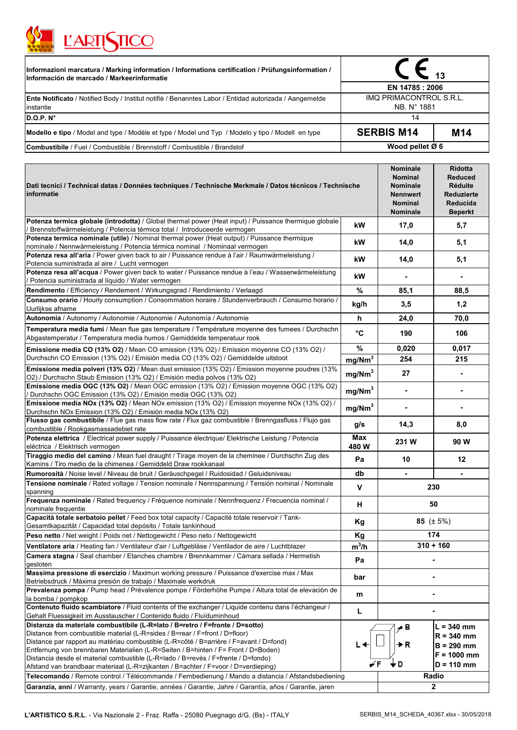

| <b>LARINICO</b>                                                                                                                                 |                                        |                 |  |
|-------------------------------------------------------------------------------------------------------------------------------------------------|----------------------------------------|-----------------|--|
| Informazioni marcatura / Marking information / Informations certification / Prüfungsinformation /<br>Información de marcado / Markeerinformatie |                                        |                 |  |
|                                                                                                                                                 | EN 14785 : 2006                        |                 |  |
| <b>Ente Notificato</b> / Notified Body / Institut notifiè / Benanntes Labor / Entidad autorizada / Aangemelde<br>instantie                      | IMQ PRIMACONTROL S.R.L.<br>NB. N° 1881 |                 |  |
| D.O.P. N°                                                                                                                                       | 14                                     |                 |  |
| Modello e tipo / Model and type / Modéle et type / Model und Typ / Modelo y tipo / Modell en type                                               | <b>SERBIS M14</b>                      | M <sub>14</sub> |  |
| <b>Combustibile</b> / Fuel / Combustible / Brennstoff / Combustible / Brandstof                                                                 | Wood pellet $Ø 6$                      |                 |  |

| Dati tecnici / Technical datas / Données techniques / Technische Merkmale / Datos técnicos / Technische<br>informatie                                                                                                                                                                                                                                                                                                                                                                                                                                                                                                         |                    | Nominale<br><b>Nominal</b><br>Nominale<br><b>Nennwert</b><br><b>Nominal</b><br><b>Nominale</b> | <b>Ridotta</b><br><b>Reduced</b><br><b>Réduite</b><br>Reduzierte<br>Reducida<br><b>Beperkt</b> |
|-------------------------------------------------------------------------------------------------------------------------------------------------------------------------------------------------------------------------------------------------------------------------------------------------------------------------------------------------------------------------------------------------------------------------------------------------------------------------------------------------------------------------------------------------------------------------------------------------------------------------------|--------------------|------------------------------------------------------------------------------------------------|------------------------------------------------------------------------------------------------|
| Potenza termica globale (introdotta) / Global thermal power (Heat input) / Puissance thermique globale<br>Brennstoffwärmeleistung / Potencia térmica total / Introduceerde vermogen                                                                                                                                                                                                                                                                                                                                                                                                                                           | kW                 | 17,0                                                                                           | 5,7                                                                                            |
| Potenza termica nominale (utile) / Nominal thermal power (Heat output) / Puissance thermique<br>nominale / Nennwärmeleistung / Potencia térmica nominal / Nominaal vermogen                                                                                                                                                                                                                                                                                                                                                                                                                                                   | kW                 | 14,0                                                                                           | 5,1                                                                                            |
| Potenza resa all'aria / Power given back to air / Puissance rendue à l'air / Raumwärmeleistung /<br>Potencia suministrada al aire / Lucht vermogen                                                                                                                                                                                                                                                                                                                                                                                                                                                                            | kW                 | 14,0                                                                                           | 5,1                                                                                            |
| Potenza resa all'acqua / Power given back to water / Puissance rendue à l'eau / Wasserwärmeleistung<br>Potencia suministrada al líquido / Water vermogen                                                                                                                                                                                                                                                                                                                                                                                                                                                                      | kW                 |                                                                                                |                                                                                                |
| Rendimento / Efficiency / Rendement / Wirkungsgrad / Rendimiento / Verlaagd                                                                                                                                                                                                                                                                                                                                                                                                                                                                                                                                                   | %                  | 85,1                                                                                           | 88,5                                                                                           |
| Consumo orario / Hourly consumption / Consommation horaire / Stundenverbrauch / Consumo horario /<br>Uurlijkse afname                                                                                                                                                                                                                                                                                                                                                                                                                                                                                                         | kg/h               | 3,5                                                                                            | 1,2                                                                                            |
| Autonomia / Autonomy / Autonomie / Autonomie / Autonomía / Autonomie                                                                                                                                                                                                                                                                                                                                                                                                                                                                                                                                                          | h                  | 24,0                                                                                           | 70,0                                                                                           |
| Temperatura media fumi / Mean flue gas temperature / Température moyenne des fumees / Durchschn<br>Abgastemperatur / Temperatura media humos / Gemiddelde temperatuur rook                                                                                                                                                                                                                                                                                                                                                                                                                                                    | °C                 | 190                                                                                            | 106                                                                                            |
| Emissione media CO (13% O2) / Mean CO emission (13% O2) / Emission moyenne CO (13% O2) /                                                                                                                                                                                                                                                                                                                                                                                                                                                                                                                                      | $\%$               | 0,020                                                                                          | 0,017                                                                                          |
| Durchschn CO Emission (13% O2) / Emisión media CO (13% O2) / Gemiddelde uitstoot                                                                                                                                                                                                                                                                                                                                                                                                                                                                                                                                              | mg/Nm <sup>3</sup> | 254                                                                                            | 215                                                                                            |
| Emissione media polveri (13% O2) / Mean dust emission (13% O2) / Emission moyenne poudres (13%<br>O2) / Durchschn Staub Emission (13% O2) / Emisión media polvos (13% O2)                                                                                                                                                                                                                                                                                                                                                                                                                                                     | mg/Nm <sup>3</sup> | 27                                                                                             | $\blacksquare$                                                                                 |
| Emissione media OGC (13% O2) / Mean OGC emission (13% O2) / Emission moyenne OGC (13% O2)<br>Durchschn OGC Emission (13% O2) / Emisión media OGC (13% O2)                                                                                                                                                                                                                                                                                                                                                                                                                                                                     | mg/Nm <sup>3</sup> |                                                                                                |                                                                                                |
| Emissione media NOx (13% O2) / Mean NOx emission (13% O2) / Emission moyenne NOx (13% O2) /<br>Durchschn NOx Emission (13% O2) / Emisión media NOx (13% O2)                                                                                                                                                                                                                                                                                                                                                                                                                                                                   | mg/Nm <sup>3</sup> |                                                                                                |                                                                                                |
| Flusso gas combustibile / Flue gas mass flow rate / Flux gaz combustible / Brenngasfluss / Flujo gas<br>combustible / Rookgasmassadebiet rate                                                                                                                                                                                                                                                                                                                                                                                                                                                                                 | g/s                | 14,3                                                                                           | 8,0                                                                                            |
| Potenza elettrica / Electrical power supply / Puissance électrique/ Elektrische Leistung / Potencia<br>eléctrica / Elektrisch vermogen                                                                                                                                                                                                                                                                                                                                                                                                                                                                                        | Max<br>480W        | 231 W                                                                                          | 90 W                                                                                           |
| Tiraggio medio del camino / Mean fuel draught / Tirage moyen de la cheminee / Durchschn Zug des<br>Kamins / Tiro medio de la chimenea / Gemiddeld Draw rookkanaal                                                                                                                                                                                                                                                                                                                                                                                                                                                             | Pa                 | 10                                                                                             | $12 \,$                                                                                        |
| Rumorosità / Noise level / Niveau de bruit / Geräuschpegel / Ruidosidad / Geluidsniveau                                                                                                                                                                                                                                                                                                                                                                                                                                                                                                                                       | db                 |                                                                                                |                                                                                                |
| Tensione nominale / Rated voltage / Tension nominale / Nennspannung / Tensión nominal / Nominale<br>spanning                                                                                                                                                                                                                                                                                                                                                                                                                                                                                                                  | v                  | 230                                                                                            |                                                                                                |
| Frequenza nominale / Rated frequency / Fréquence nominale / Nennfrequenz / Frecuencia nominal /<br>nominale frequentie                                                                                                                                                                                                                                                                                                                                                                                                                                                                                                        | H                  | 50                                                                                             |                                                                                                |
| Capacità totale serbatoio pellet / Feed box total capacity / Capacité totale reservoir / Tank-<br>Gesamtkapazität / Capacidad total depósito / Totale tankinhoud                                                                                                                                                                                                                                                                                                                                                                                                                                                              | Kg                 | 85 $(\pm 5\%)$                                                                                 |                                                                                                |
| Peso netto / Net weight / Poids net / Nettogewicht / Peso neto / Nettogewicht                                                                                                                                                                                                                                                                                                                                                                                                                                                                                                                                                 | Kg                 | 174                                                                                            |                                                                                                |
| Ventilatore aria / Heating fan / Ventilateur d'air / Luftgebläse / Ventilador de aire / Luchtblazer                                                                                                                                                                                                                                                                                                                                                                                                                                                                                                                           | $m^3/h$            | $310 + 160$                                                                                    |                                                                                                |
| Camera stagna / Seal chamber / Etanches chambre / Brennkammer / Cámara sellada / Hermetish<br>gesloten                                                                                                                                                                                                                                                                                                                                                                                                                                                                                                                        | Pa                 |                                                                                                |                                                                                                |
| Massima pressione di esercizio / Maximun working pressure / Puissance d'exercise max / Max<br>Betriebsdruck / Máxima presión de trabajo / Maximale werkdruk                                                                                                                                                                                                                                                                                                                                                                                                                                                                   | bar                |                                                                                                |                                                                                                |
| Prevalenza pompa / Pump head / Prévalence pompe / Förderhöhe Pumpe / Altura total de elevación de<br>la bomba / pompkop                                                                                                                                                                                                                                                                                                                                                                                                                                                                                                       | m                  |                                                                                                |                                                                                                |
| Contenuto fluido scambiatore / Fluid contents of the exchanger / Liquide contenu dans l'échangeur /<br>Gehalt Fluessigkeit im Ausstauscher / Contenido fluido / Fluïduminhoud                                                                                                                                                                                                                                                                                                                                                                                                                                                 | L                  |                                                                                                |                                                                                                |
| Distanza da materiale combustibile (L-R=lato / B=retro / F=fronte / D=sotto)<br>Distance from combustible material (L-R=sides / B=rear / F=front / D=floor)<br>Distance par rapport au matériau combustible (L-R=côté / B=arrière / F=avant / D=fond)<br>Entfernung von brennbaren Materialien (L-R=Seiten / B=hinten / F= Front / D=Boden)<br>Distancia desde el material combustible (L-R=lado / B=revés / F=frente / D=fondo)<br>Afstand van brandbaar materiaal (L-R=zijkanten / B=achter / F=voor / D=verdieping)<br>Telecomando / Remote control / Télécommande / Fernbedienung / Mando a distancia / Afstandsbediening | L←                 | ⊿ B<br>►R<br>, D                                                                               | $L = 340$ mm<br>$R = 340$ mm<br>$B = 290$ mm<br>$F = 1000$ mm<br>$D = 110$ mm<br>Radio         |
| Garanzia, anni / Warranty, years / Garantie, années / Garantie, Jahre / Garantía, años / Garantie, jaren                                                                                                                                                                                                                                                                                                                                                                                                                                                                                                                      |                    |                                                                                                | $\overline{2}$                                                                                 |

 $\overline{\phantom{0}}$